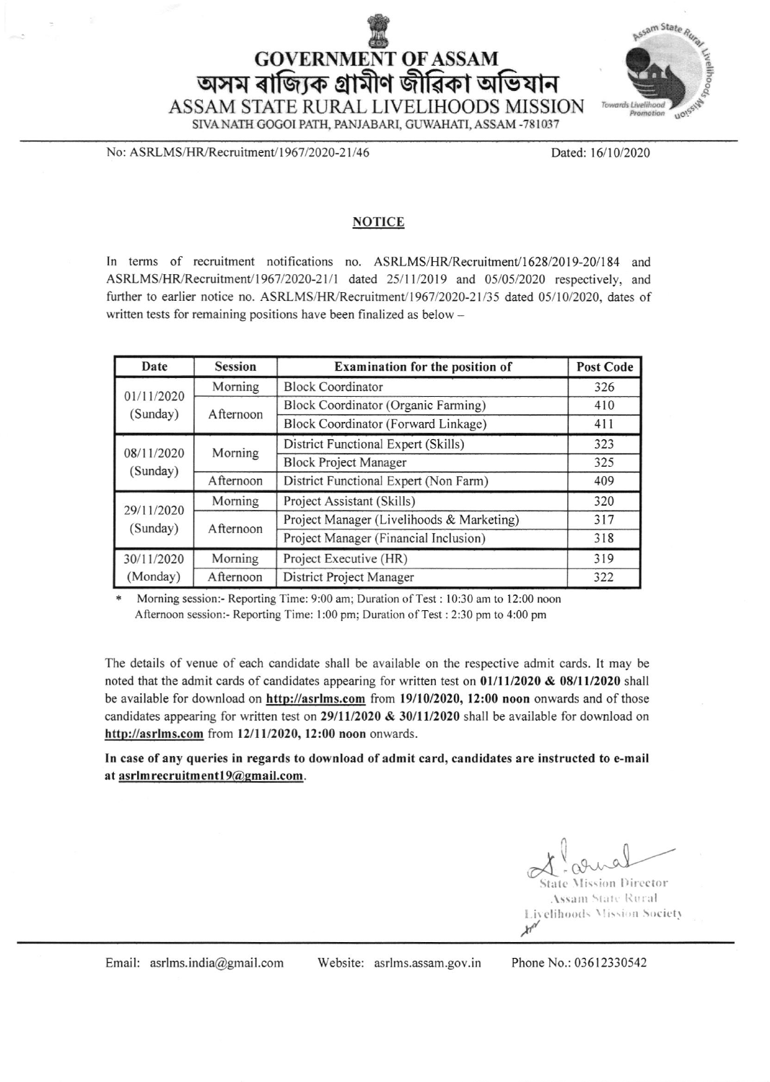## **GOVERNMENT OF ASSAM** অসম ৰাজ্যিক গ্ৰামীণ জীৱিকা অভিযান ASSAM STATE RURAL LIVELIHOODS MISSION



SIVA NATH GOGOI PATH, PANJABARI, GUWAHATI, ASSAM -781037

No: ASRLMS/HR/Recruitment/1967/2020-21/46

Dated: 16/10/2020

## **NOTICE**

In terms of recruitment notifications no. ASRLMS/HR/Recruitment/1628/2019-201184 and ASRLMS/HR/Recruitment/1967/2020-21/1 dated 25/11/2019 and 05/05/2020 respectively, and further to earlier notice no. ASRLMS/HR/Recruitment/1967/2020-21/35 dated 05/10/2020, dates of written tests for remaining positions have been finalized as below -

| Date                   | <b>Session</b> | Examination for the position of            | <b>Post Code</b> |
|------------------------|----------------|--------------------------------------------|------------------|
| 01/11/2020<br>(Sunday) | Morning        | <b>Block Coordinator</b>                   | 326              |
|                        | Afternoon      | <b>Block Coordinator (Organic Farming)</b> | 410              |
|                        |                | Block Coordinator (Forward Linkage)        | 411              |
| 08/11/2020<br>(Sunday) | Morning        | District Functional Expert (Skills)        | 323              |
|                        |                | <b>Block Project Manager</b>               | 325              |
|                        | Afternoon      | District Functional Expert (Non Farm)      | 409              |
| 29/11/2020             | Morning        | Project Assistant (Skills)                 | 320              |
| (Sunday)               | Afternoon      | Project Manager (Livelihoods & Marketing)  | 317              |
|                        |                | Project Manager (Financial Inclusion)      | 318              |
| 30/11/2020             | Morning        | Project Executive (HR)                     | 319              |
| (Monday)               | Afternoon      | District Project Manager                   | 322              |

Morning session:- Reporting Time: 9:00 am; Duration of Test: 10:30 am to 12:00 noon Afternoon session:- Reporting Time: 1:00 pm; Duration of Test : 2:30 pm to 4:00 pm

The details of venue of each candidate shall be available on lhe respective admit cards. It may be noted that the admit cards of candidates appearing for written test on  $01/11/2020 \& 08/11/2020$  shall be available for download on http://asrlms.com from 19/10/2020, 12:00 noon onwards and of those candidates appearing for written test on 29/11/2020  $\&$  30/11/2020 shall be available for download on http://asrlms.com from 12/11/2020, 12:00 noon onwards.

In case of any queries in regards to download of admit card, candidates are instructed to e-mail at asrlm recruitment19@gmail.com.

 $\alpha$ ry i

State Mission Director **Assam State Rural** Livelihoods Mission Society  $\lambda^{n}$ 

Email: asrlms.india@gmail.com Website: asrlms.assam.gov.in Phone No.: 03612330542